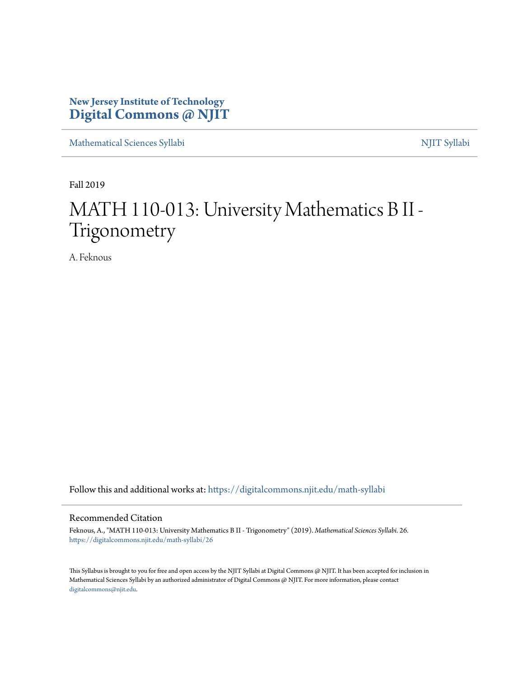# **New Jersey Institute of Technology [Digital Commons @ NJIT](https://digitalcommons.njit.edu/?utm_source=digitalcommons.njit.edu%2Fmath-syllabi%2F26&utm_medium=PDF&utm_campaign=PDFCoverPages)**

[Mathematical Sciences Syllabi](https://digitalcommons.njit.edu/math-syllabi?utm_source=digitalcommons.njit.edu%2Fmath-syllabi%2F26&utm_medium=PDF&utm_campaign=PDFCoverPages) [NJIT Syllabi](https://digitalcommons.njit.edu/syllabi?utm_source=digitalcommons.njit.edu%2Fmath-syllabi%2F26&utm_medium=PDF&utm_campaign=PDFCoverPages)

Fall 2019

# MATH 110-013: University Mathematics B II - Trigonometry

A. Feknous

Follow this and additional works at: [https://digitalcommons.njit.edu/math-syllabi](https://digitalcommons.njit.edu/math-syllabi?utm_source=digitalcommons.njit.edu%2Fmath-syllabi%2F26&utm_medium=PDF&utm_campaign=PDFCoverPages)

#### Recommended Citation

Feknous, A., "MATH 110-013: University Mathematics B II - Trigonometry" (2019). *Mathematical Sciences Syllabi*. 26. [https://digitalcommons.njit.edu/math-syllabi/26](https://digitalcommons.njit.edu/math-syllabi/26?utm_source=digitalcommons.njit.edu%2Fmath-syllabi%2F26&utm_medium=PDF&utm_campaign=PDFCoverPages)

This Syllabus is brought to you for free and open access by the NJIT Syllabi at Digital Commons @ NJIT. It has been accepted for inclusion in Mathematical Sciences Syllabi by an authorized administrator of Digital Commons @ NJIT. For more information, please contact [digitalcommons@njit.edu](mailto:digitalcommons@njit.edu).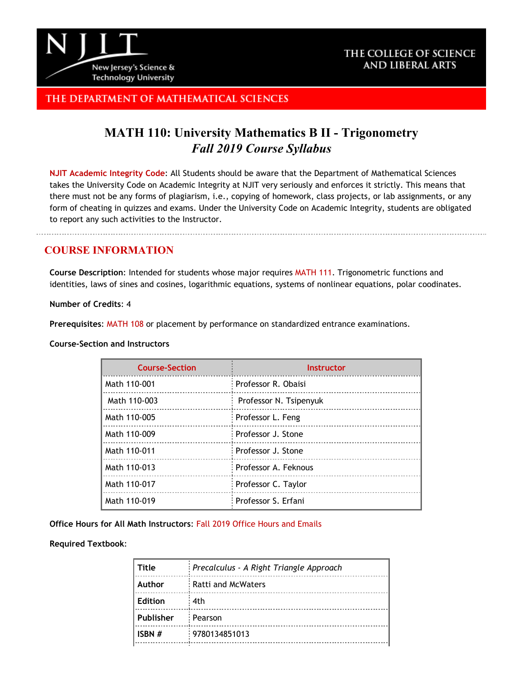

## THE COLLEGE OF SCIENCE AND LIBERAL ARTS

## THE DEPARTMENT OF MATHEMATICAL SCIENCES

# **MATH 110: University Mathematics B II - Trigonometry** *Fall 2019 Course Syllabus*

**[NJIT Academic Integrity Code](http://www.njit.edu/policies/sites/policies/files/academic-integrity-code.pdf)**: All Students should be aware that the Department of Mathematical Sciences takes the University Code on Academic Integrity at NJIT very seriously and enforces it strictly. This means that there must not be any forms of plagiarism, i.e., copying of homework, class projects, or lab assignments, or any form of cheating in quizzes and exams. Under the University Code on Academic Integrity, students are obligated to report any such activities to the Instructor.

## **COURSE INFORMATION**

**Course Description**: Intended for students whose major requires [MATH](http://catalog.njit.edu/search/?P=MATH%20111) 111. Trigonometric functions and identities, laws of sines and cosines, logarithmic equations, systems of nonlinear equations, polar coodinates.

**Number of Credits**: 4

**Prerequisites**: [MATH](http://catalog.njit.edu/search/?P=MATH%20108) 108 or placement by performance on standardized entrance examinations.

#### **Course-Section and Instructors**

| <b>Course-Section</b> | <b>Instructor</b>      |
|-----------------------|------------------------|
| Math 110-001          | Professor R. Obaisi    |
| Math 110-003          | Professor N. Tsipenyuk |
| Math 110-005          | Professor L. Feng      |
| Math 110-009          | Professor J. Stone     |
| Math 110-011          | Professor J. Stone     |
| Math 110-013          | Professor A. Feknous   |
| Math 110-017          | Professor C. Taylor    |
| Math 110-019          | Professor S. Erfani    |

**Office Hours for All Math Instructors**: [Fall 2019 Office Hours and Emails](http://math.njit.edu/students/officehours.php)

#### **Required Textbook**:

| Title          | Precalculus - A Right Triangle Approach |
|----------------|-----------------------------------------|
| Author         | <b>Ratti and McWaters</b>               |
| <b>Edition</b> | 4th                                     |
| Publisher      | Pearson                                 |
| ISBN #         | 9780134851013                           |
|                |                                         |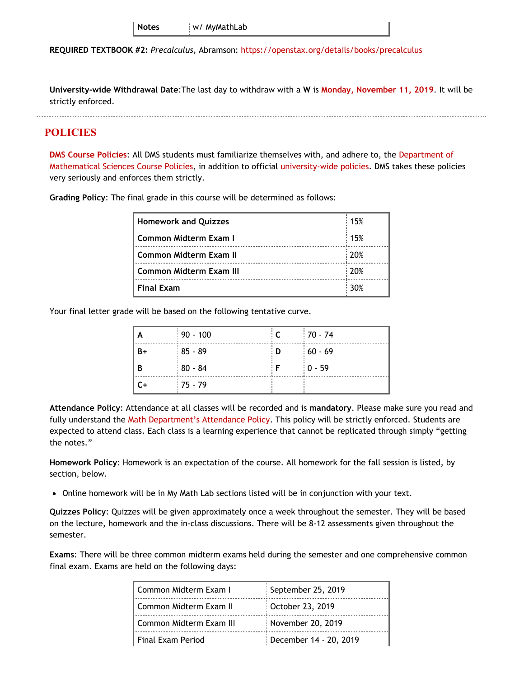**REQUIRED TEXTBOOK #2:** *Precalculus,* Abramson: <https://openstax.org/details/books/precalculus>

**University-wide Withdrawal Date**:The last day to withdraw with a **W** is **[Monday, November 11, 2019](https://www.njit.edu/registrar/fall-2019-academic-calendar/)**. It will be strictly enforced.

### **POLICIES**

**[DMS Course Policies](http://math.njit.edu/students/undergraduate/policies_math.php)**: All DMS students must familiarize themselves with, and adhere to, the [Department of](http://math.njit.edu/students/undergraduate/policies_math.php) [Mathematical Sciences Course Policies](http://math.njit.edu/students/undergraduate/policies_math.php), in addition to official [university-wide policies](http://catalog.njit.edu/undergraduate/academic-policies-procedures/). DMS takes these policies very seriously and enforces them strictly.

**Grading Policy**: The final grade in this course will be determined as follows:

| <b>Homework and Quizzes</b>    | 15%              |
|--------------------------------|------------------|
| Common Midterm Exam I          | 15%              |
| Common Midterm Exam II         | $\frac{1}{20\%}$ |
| <b>Common Midterm Exam III</b> | : 20%            |
| <b>Final Exam</b>              | 30%              |

Your final letter grade will be based on the following tentative curve.

| A    | $\frac{1}{2}$ 90 - 100 |     | $170 - 74$ |
|------|------------------------|-----|------------|
| $B+$ | $185 - 89$             | : D | $160 - 69$ |
| В    | $180 - 84$             |     | $10 - 59$  |
| C+   | $:75 - 79$             |     |            |

**Attendance Policy**: Attendance at all classes will be recorded and is **mandatory**. Please make sure you read and fully understand the [Math Department's Attendance Policy.](http://math.njit.edu/students/policies_attendance.php) This policy will be strictly enforced. Students are expected to attend class. Each class is a learning experience that cannot be replicated through simply "getting the notes."

**Homework Policy**: Homework is an expectation of the course. All homework for the fall session is listed, by section, below.

Online homework will be in My Math Lab sections listed will be in conjunction with your text.

**Quizzes Policy**: Quizzes will be given approximately once a week throughout the semester. They will be based on the lecture, homework and the in-class discussions. There will be 8-12 assessments given throughout the semester.

**Exams**: There will be three common midterm exams held during the semester and one comprehensive common final exam. Exams are held on the following days:

| Common Midterm Exam I    | September 25, 2019     |
|--------------------------|------------------------|
| l Common Midterm Exam II | October 23, 2019       |
| Common Midterm Exam III  | November 20, 2019      |
| l Final Exam Period      | December 14 - 20, 2019 |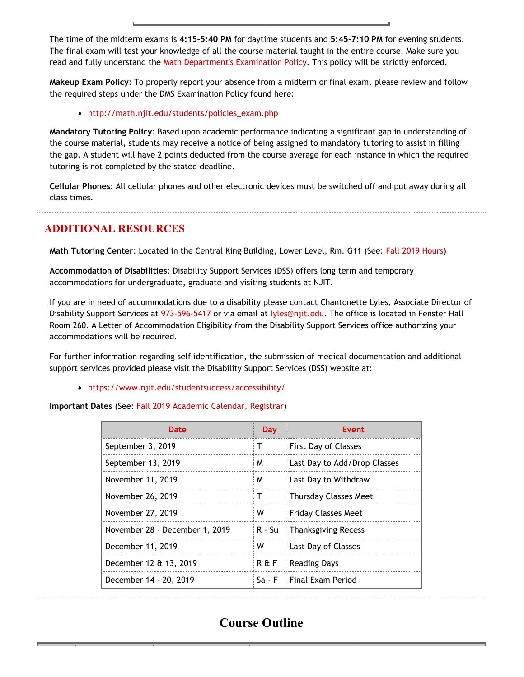The time of the midterm exams is **4:15-5:40 PM** for daytime students and **5:45-7:10 PM** for evening students. The final exam will test your knowledge of all the course material taught in the entire course. Make sure you read and fully understand the [Math Department's Examination Policy](http://math.njit.edu/students/policies_exam.php). This policy will be strictly enforced.

**Makeup Exam Policy**: To properly report your absence from a midterm or final exam, please review and follow the required steps under the DMS Examination Policy found here:

#### [http://math.njit.edu/students/policies\\_exam.php](http://math.njit.edu/students/policies_exam.php)

**Mandatory Tutoring Policy**: Based upon academic performance indicating a significant gap in understanding of the course material, students may receive a notice of being assigned to mandatory tutoring to assist in filling the gap. A student will have 2 points deducted from the course average for each instance in which the required tutoring is not completed by the stated deadline.

**Cellular Phones**: All cellular phones and other electronic devices must be switched off and put away during all class times.

# **ADDITIONAL RESOURCES**

**Math Tutoring Center**: Located in the Central King Building, Lower Level, Rm. G11 (See[: Fall 2019 Hours](http://math.njit.edu/students/undergraduate/tutoring_help.php))

**Accommodation of Disabilities**: Disability Support Services (DSS) offers long term and temporary accommodations for undergraduate, graduate and visiting students at NJIT.

If you are in need of accommodations due to a disability please contact Chantonette Lyles, Associate Director of Disability Support Services at [973-596-5417](tel:973-596-5417) or via email at [lyles@njit.edu](mailto:lyles@njit.edu). The office is located in Fenster Hall Room 260. A Letter of Accommodation Eligibility from the Disability Support Services office authorizing your accommodations will be required.

For further information regarding self identification, the submission of medical documentation and additional support services provided please visit the Disability Support Services (DSS) website at:

[https://www.njit.edu/studentsuccess/accessibility/](http://www5.njit.edu/studentsuccess/disability-support-services/)

#### **Important Dates** (See: [Fall 2019 Academic Calendar, Registrar](https://www.njit.edu/registrar/fall-2019-academic-calendar/))

| Date                           | <b>Day</b> | Event                        |
|--------------------------------|------------|------------------------------|
| September 3, 2019              | т          | <b>First Day of Classes</b>  |
| September 13, 2019             | M          | Last Day to Add/Drop Classes |
| November 11, 2019              | M          | Last Day to Withdraw         |
| November 26, 2019              | T.         | <b>Thursday Classes Meet</b> |
| November 27, 2019              | W          | <b>Friday Classes Meet</b>   |
| November 28 - December 1, 2019 | i R - Su   | <b>Thanksgiving Recess</b>   |
| December 11, 2019              | W          | Last Day of Classes          |
| December 12 & 13, 2019         | R & F      | Reading Days                 |
| December 14 - 20, 2019         | Sa - F     | : Final Exam Period          |

# **Course Outline**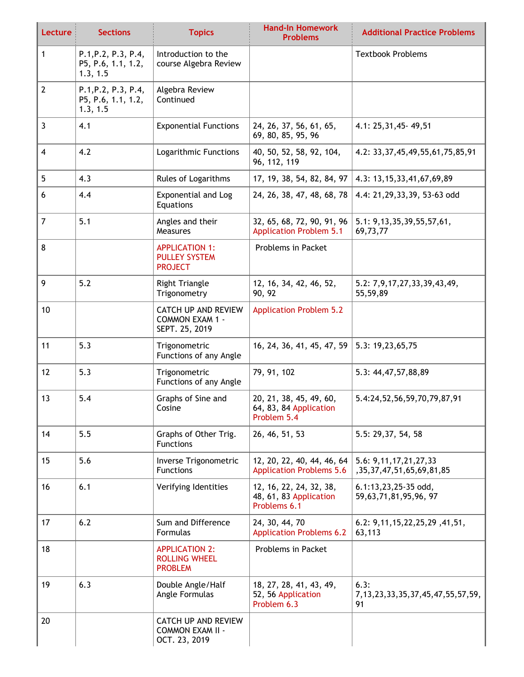| Lecture        | <b>Sections</b>                                       | <b>Topics</b>                                                          | <b>Hand-In Homework</b><br><b>Problems</b>                        | <b>Additional Practice Problems</b>                            |
|----------------|-------------------------------------------------------|------------------------------------------------------------------------|-------------------------------------------------------------------|----------------------------------------------------------------|
| $\mathbf{1}$   | P.1, P.2, P.3, P.4,<br>P5, P.6, 1.1, 1.2,<br>1.3, 1.5 | Introduction to the<br>course Algebra Review                           |                                                                   | <b>Textbook Problems</b>                                       |
| $\overline{2}$ | P.1, P.2, P.3, P.4,<br>P5, P.6, 1.1, 1.2,<br>1.3, 1.5 | Algebra Review<br>Continued                                            |                                                                   |                                                                |
| $\mathbf{3}$   | 4.1                                                   | <b>Exponential Functions</b>                                           | 24, 26, 37, 56, 61, 65,<br>69, 80, 85, 95, 96                     | 4.1: 25, 31, 45 - 49, 51                                       |
| $\overline{4}$ | 4.2                                                   | Logarithmic Functions                                                  | 40, 50, 52, 58, 92, 104,<br>96, 112, 119                          | 4.2: 33, 37, 45, 49, 55, 61, 75, 85, 91                        |
| 5              | 4.3                                                   | <b>Rules of Logarithms</b>                                             | 17, 19, 38, 54, 82, 84, 97                                        | 4.3: 13, 15, 33, 41, 67, 69, 89                                |
| 6              | 4.4                                                   | <b>Exponential and Log</b><br>Equations                                | 24, 26, 38, 47, 48, 68, 78                                        | 4.4: 21,29,33,39, 53-63 odd                                    |
| $\overline{7}$ | 5.1                                                   | Angles and their<br>Measures                                           | 32, 65, 68, 72, 90, 91, 96<br><b>Application Problem 5.1</b>      | 5.1: 9,13,35,39,55,57,61,<br>69,73,77                          |
| 8              |                                                       | <b>APPLICATION 1:</b><br><b>PULLEY SYSTEM</b><br><b>PROJECT</b>        | Problems in Packet                                                |                                                                |
| 9              | 5.2                                                   | <b>Right Triangle</b><br>Trigonometry                                  | 12, 16, 34, 42, 46, 52,<br>90, 92                                 | 5.2: 7,9,17,27,33,39,43,49,<br>55,59,89                        |
| 10             |                                                       | <b>CATCH UP AND REVIEW</b><br><b>COMMON EXAM 1 -</b><br>SEPT. 25, 2019 | <b>Application Problem 5.2</b>                                    |                                                                |
| 11             | 5.3                                                   | Trigonometric<br>Functions of any Angle                                | 16, 24, 36, 41, 45, 47, 59                                        | 5.3: 19,23,65,75                                               |
| 12             | 5.3                                                   | Trigonometric<br>Functions of any Angle                                | 79, 91, 102                                                       | 5.3: 44, 47, 57, 88, 89                                        |
| 13             | 5.4                                                   | Graphs of Sine and<br>Cosine                                           | 20, 21, 38, 45, 49, 60,<br>64, 83, 84 Application<br>Problem 5.4  | 5.4:24,52,56,59,70,79,87,91                                    |
| 14             | 5.5                                                   | Graphs of Other Trig.<br><b>Functions</b>                              | 26, 46, 51, 53                                                    | 5.5: 29,37, 54, 58                                             |
| 15             | 5.6                                                   | Inverse Trigonometric<br><b>Functions</b>                              | 12, 20, 22, 40, 44, 46, 64<br><b>Application Problems 5.6</b>     | 5.6: 9, 11, 17, 21, 27, 33<br>, 35, 37, 47, 51, 65, 69, 81, 85 |
| 16             | 6.1                                                   | Verifying Identities                                                   | 12, 16, 22, 24, 32, 38,<br>48, 61, 83 Application<br>Problems 6.1 | 6.1:13,23,25-35 odd,<br>59,63,71,81,95,96,97                   |
| 17             | 6.2                                                   | Sum and Difference<br>Formulas                                         | 24, 30, 44, 70<br><b>Application Problems 6.2</b>                 | 6.2: 9, 11, 15, 22, 25, 29, 41, 51,<br>63,113                  |
| 18             |                                                       | <b>APPLICATION 2:</b><br><b>ROLLING WHEEL</b><br><b>PROBLEM</b>        | Problems in Packet                                                |                                                                |
| 19             | 6.3                                                   | Double Angle/Half<br>Angle Formulas                                    | 18, 27, 28, 41, 43, 49,<br>52, 56 Application<br>Problem 6.3      | 6.3:<br>7, 13, 23, 33, 35, 37, 45, 47, 55, 57, 59,<br>91       |
| 20             |                                                       | <b>CATCH UP AND REVIEW</b><br><b>COMMON EXAM II -</b><br>OCT. 23, 2019 |                                                                   |                                                                |